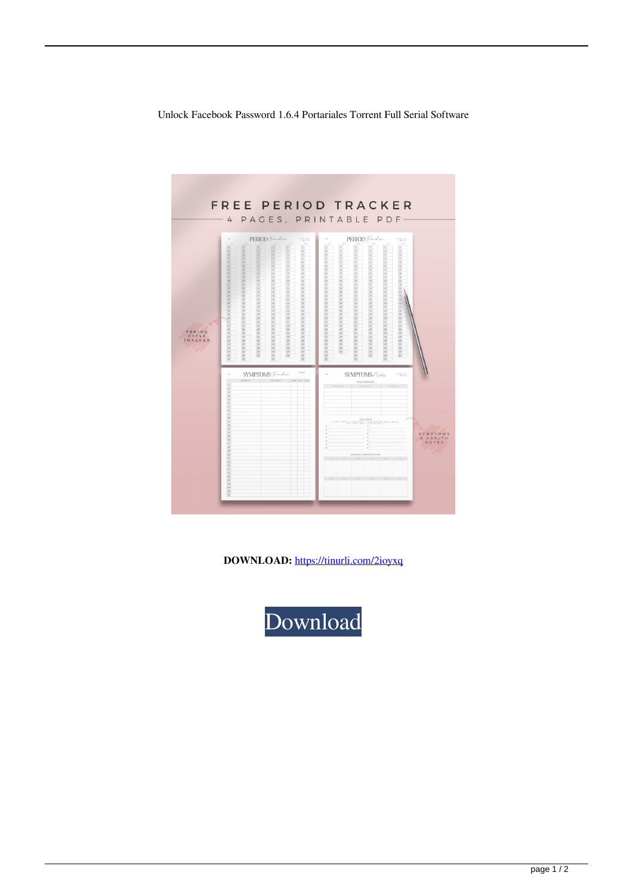



**DOWNLOAD:** <https://tinurli.com/2ioyxq>